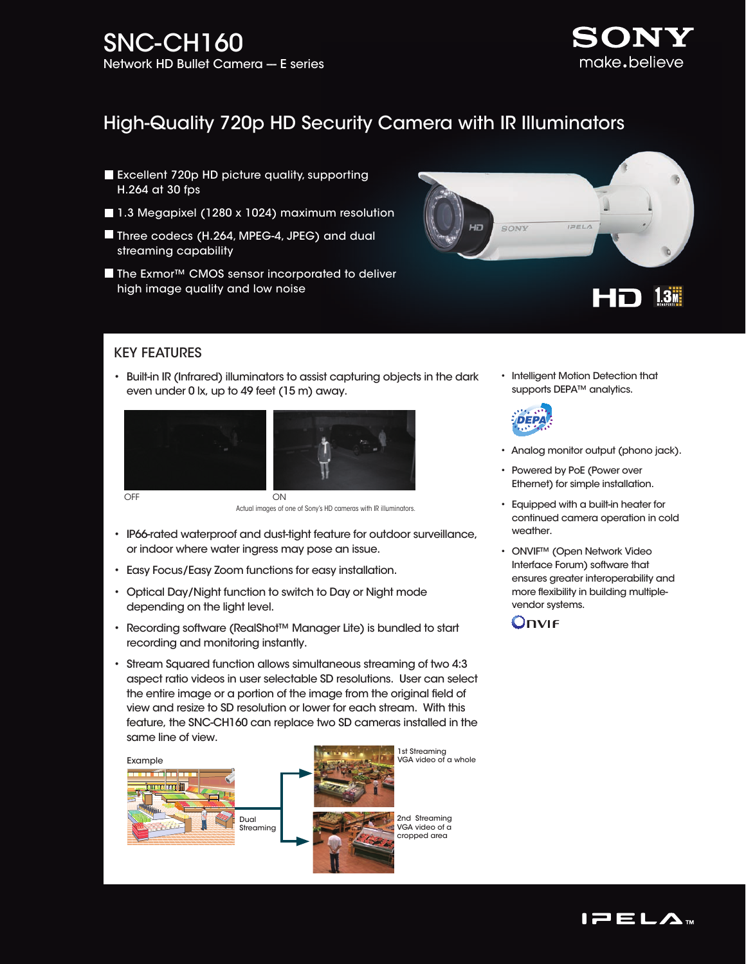

# High-Quality 720p HD Security Camera with IR Illuminators

- **Excellent 720p HD picture quality, supporting** H.264 at 30 fps
- 1.3 Megapixel (1280 x 1024) maximum resolution
- Three codecs (H.264, MPEG-4, JPEG) and dual streaming capability
- The Exmor<sup>™</sup> CMOS sensor incorporated to deliver high image quality and low noise



## KEY FEATURES

• Built-in IR (Infrared) illuminators to assist capturing objects in the dark even under 0 lx, up to 49 feet (15 m) away.





OFF ON ON

(Images 1) Actual images of one of Sony's HD cameras with IR illuminators.

- IP66-rated waterproof and dust-tight feature for outdoor surveillance, or indoor where water ingress may pose an issue.
- Easy Focus/Easy Zoom functions for easy installation.
- Optical Day/Night function to switch to Day or Night mode depending on the light level.
- Recording software (RealShot™ Manager Lite) is bundled to start recording and monitoring instantly.
- Stream Squared function allows simultaneous streaming of two 4:3 aspect ratio videos in user selectable SD resolutions. User can select the entire image or a portion of the image from the original field of view and resize to SD resolution or lower for each stream. With this feature, the SNC-CH160 can replace two SD cameras installed in the same line of view.



1st Streaming VGA video of a whole

> 2nd Streaming VGA video of a cropped area

• Intelligent Motion Detection that supports DEPA<sup>™</sup> analytics.



- Analog monitor output (phono jack).
- Powered by PoE (Power over Ethernet) for simple installation.
- Equipped with a built-in heater for continued camera operation in cold weather.
- ONVIF™ (Open Network Video Interface Forum) software that ensures greater interoperability and more flexibility in building multiplevendor systems.